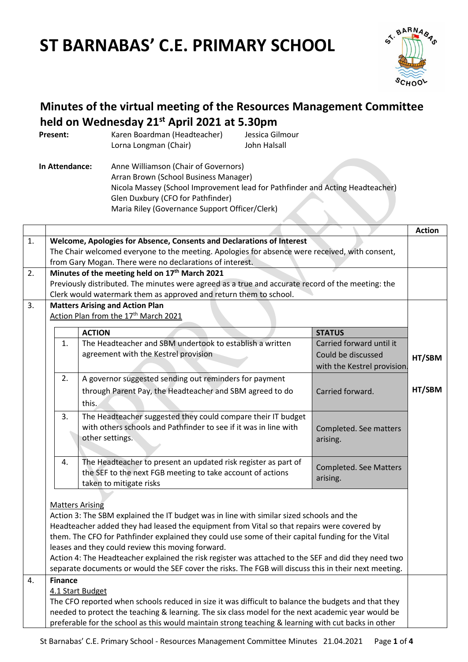# **ST BARNABAS' C.E. PRIMARY SCHOOL**



# **Minutes of the virtual meeting of the Resources Management Committee held on Wednesday 21st April 2021 at 5.30pm**

| Present:       | Karen Boardman (Headteacher)<br>Lorna Longman (Chair)                                                              | Jessica Gilmour<br>John Halsall                                                                                                 |  |
|----------------|--------------------------------------------------------------------------------------------------------------------|---------------------------------------------------------------------------------------------------------------------------------|--|
| In Attendance: | Anne Williamson (Chair of Governors)<br>Arran Brown (School Business Manager)<br>Glen Duxbury (CFO for Pathfinder) | Nicola Massey (School Improvement lead for Pathfinder and Acting Headteacher)<br>Maria Riley (Governance Support Officer/Clerk) |  |

|                |                                                                                                                                                                                                                                                                                                                                                                                                                                                                      |                                                                                                                                  |                               | <b>Action</b> |
|----------------|----------------------------------------------------------------------------------------------------------------------------------------------------------------------------------------------------------------------------------------------------------------------------------------------------------------------------------------------------------------------------------------------------------------------------------------------------------------------|----------------------------------------------------------------------------------------------------------------------------------|-------------------------------|---------------|
| 1.             | Welcome, Apologies for Absence, Consents and Declarations of Interest                                                                                                                                                                                                                                                                                                                                                                                                |                                                                                                                                  |                               |               |
|                | The Chair welcomed everyone to the meeting. Apologies for absence were received, with consent,                                                                                                                                                                                                                                                                                                                                                                       |                                                                                                                                  |                               |               |
|                | from Gary Mogan. There were no declarations of interest.                                                                                                                                                                                                                                                                                                                                                                                                             |                                                                                                                                  |                               |               |
| 2.             | Minutes of the meeting held on 17 <sup>th</sup> March 2021                                                                                                                                                                                                                                                                                                                                                                                                           |                                                                                                                                  |                               |               |
|                | Previously distributed. The minutes were agreed as a true and accurate record of the meeting: the                                                                                                                                                                                                                                                                                                                                                                    |                                                                                                                                  |                               |               |
|                | Clerk would watermark them as approved and return them to school.                                                                                                                                                                                                                                                                                                                                                                                                    |                                                                                                                                  |                               |               |
| 3 <sub>1</sub> | <b>Matters Arising and Action Plan</b>                                                                                                                                                                                                                                                                                                                                                                                                                               |                                                                                                                                  |                               |               |
|                |                                                                                                                                                                                                                                                                                                                                                                                                                                                                      | Action Plan from the 17 <sup>th</sup> March 2021                                                                                 |                               |               |
|                |                                                                                                                                                                                                                                                                                                                                                                                                                                                                      | <b>ACTION</b>                                                                                                                    | <b>STATUS</b>                 |               |
|                | 1.                                                                                                                                                                                                                                                                                                                                                                                                                                                                   | The Headteacher and SBM undertook to establish a written                                                                         | Carried forward until it      |               |
|                |                                                                                                                                                                                                                                                                                                                                                                                                                                                                      | agreement with the Kestrel provision                                                                                             | Could be discussed            | HT/SBM        |
|                |                                                                                                                                                                                                                                                                                                                                                                                                                                                                      |                                                                                                                                  | with the Kestrel provision.   |               |
|                | 2.                                                                                                                                                                                                                                                                                                                                                                                                                                                                   | A governor suggested sending out reminders for payment                                                                           |                               |               |
|                |                                                                                                                                                                                                                                                                                                                                                                                                                                                                      | through Parent Pay, the Headteacher and SBM agreed to do                                                                         | Carried forward.              | HT/SBM        |
|                |                                                                                                                                                                                                                                                                                                                                                                                                                                                                      | this.                                                                                                                            |                               |               |
|                |                                                                                                                                                                                                                                                                                                                                                                                                                                                                      |                                                                                                                                  |                               |               |
|                | 3.                                                                                                                                                                                                                                                                                                                                                                                                                                                                   | The Headteacher suggested they could compare their IT budget<br>with others schools and Pathfinder to see if it was in line with |                               |               |
|                |                                                                                                                                                                                                                                                                                                                                                                                                                                                                      | other settings.                                                                                                                  | Completed. See matters        |               |
|                |                                                                                                                                                                                                                                                                                                                                                                                                                                                                      |                                                                                                                                  | arising.                      |               |
|                |                                                                                                                                                                                                                                                                                                                                                                                                                                                                      |                                                                                                                                  |                               |               |
|                | 4.                                                                                                                                                                                                                                                                                                                                                                                                                                                                   | The Headteacher to present an updated risk register as part of                                                                   | <b>Completed. See Matters</b> |               |
|                |                                                                                                                                                                                                                                                                                                                                                                                                                                                                      | the SEF to the next FGB meeting to take account of actions<br>taken to mitigate risks                                            | arising.                      |               |
|                |                                                                                                                                                                                                                                                                                                                                                                                                                                                                      |                                                                                                                                  |                               |               |
|                | <b>Matters Arising</b>                                                                                                                                                                                                                                                                                                                                                                                                                                               |                                                                                                                                  |                               |               |
|                |                                                                                                                                                                                                                                                                                                                                                                                                                                                                      | Action 3: The SBM explained the IT budget was in line with similar sized schools and the                                         |                               |               |
|                | Headteacher added they had leased the equipment from Vital so that repairs were covered by<br>them. The CFO for Pathfinder explained they could use some of their capital funding for the Vital<br>leases and they could review this moving forward.<br>Action 4: The Headteacher explained the risk register was attached to the SEF and did they need two<br>separate documents or would the SEF cover the risks. The FGB will discuss this in their next meeting. |                                                                                                                                  |                               |               |
|                |                                                                                                                                                                                                                                                                                                                                                                                                                                                                      |                                                                                                                                  |                               |               |
|                |                                                                                                                                                                                                                                                                                                                                                                                                                                                                      |                                                                                                                                  |                               |               |
|                |                                                                                                                                                                                                                                                                                                                                                                                                                                                                      |                                                                                                                                  |                               |               |
|                |                                                                                                                                                                                                                                                                                                                                                                                                                                                                      |                                                                                                                                  |                               |               |
| 4.             | <b>Finance</b>                                                                                                                                                                                                                                                                                                                                                                                                                                                       |                                                                                                                                  |                               |               |
|                | 4.1 Start Budget                                                                                                                                                                                                                                                                                                                                                                                                                                                     |                                                                                                                                  |                               |               |
|                | The CFO reported when schools reduced in size it was difficult to balance the budgets and that they                                                                                                                                                                                                                                                                                                                                                                  |                                                                                                                                  |                               |               |
|                | needed to protect the teaching & learning. The six class model for the next academic year would be                                                                                                                                                                                                                                                                                                                                                                   |                                                                                                                                  |                               |               |
|                | preferable for the school as this would maintain strong teaching & learning with cut backs in other                                                                                                                                                                                                                                                                                                                                                                  |                                                                                                                                  |                               |               |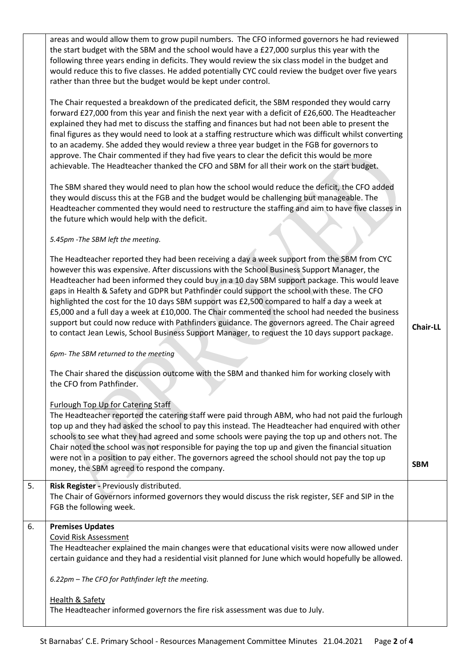|    | areas and would allow them to grow pupil numbers. The CFO informed governors he had reviewed<br>the start budget with the SBM and the school would have a £27,000 surplus this year with the<br>following three years ending in deficits. They would review the six class model in the budget and<br>would reduce this to five classes. He added potentially CYC could review the budget over five years<br>rather than three but the budget would be kept under control.                                                                                                                                                                                                                                                                                                                            |                 |
|----|------------------------------------------------------------------------------------------------------------------------------------------------------------------------------------------------------------------------------------------------------------------------------------------------------------------------------------------------------------------------------------------------------------------------------------------------------------------------------------------------------------------------------------------------------------------------------------------------------------------------------------------------------------------------------------------------------------------------------------------------------------------------------------------------------|-----------------|
|    | The Chair requested a breakdown of the predicated deficit, the SBM responded they would carry<br>forward £27,000 from this year and finish the next year with a deficit of £26,600. The Headteacher<br>explained they had met to discuss the staffing and finances but had not been able to present the<br>final figures as they would need to look at a staffing restructure which was difficult whilst converting<br>to an academy. She added they would review a three year budget in the FGB for governors to<br>approve. The Chair commented if they had five years to clear the deficit this would be more<br>achievable. The Headteacher thanked the CFO and SBM for all their work on the start budget.                                                                                      |                 |
|    | The SBM shared they would need to plan how the school would reduce the deficit, the CFO added<br>they would discuss this at the FGB and the budget would be challenging but manageable. The<br>Headteacher commented they would need to restructure the staffing and aim to have five classes in<br>the future which would help with the deficit.                                                                                                                                                                                                                                                                                                                                                                                                                                                    |                 |
|    | 5.45pm - The SBM left the meeting.                                                                                                                                                                                                                                                                                                                                                                                                                                                                                                                                                                                                                                                                                                                                                                   |                 |
|    | The Headteacher reported they had been receiving a day a week support from the SBM from CYC<br>however this was expensive. After discussions with the School Business Support Manager, the<br>Headteacher had been informed they could buy in a 10 day SBM support package. This would leave<br>gaps in Health & Safety and GDPR but Pathfinder could support the school with these. The CFO<br>highlighted the cost for the 10 days SBM support was £2,500 compared to half a day a week at<br>£5,000 and a full day a week at £10,000. The Chair commented the school had needed the business<br>support but could now reduce with Pathfinders guidance. The governors agreed. The Chair agreed<br>to contact Jean Lewis, School Business Support Manager, to request the 10 days support package. | <b>Chair-LL</b> |
|    | 6pm-The SBM returned to the meeting                                                                                                                                                                                                                                                                                                                                                                                                                                                                                                                                                                                                                                                                                                                                                                  |                 |
|    | The Chair shared the discussion outcome with the SBM and thanked him for working closely with<br>the CFO from Pathfinder.                                                                                                                                                                                                                                                                                                                                                                                                                                                                                                                                                                                                                                                                            |                 |
|    | Furlough Top Up for Catering Staff<br>The Headteacher reported the catering staff were paid through ABM, who had not paid the furlough<br>top up and they had asked the school to pay this instead. The Headteacher had enquired with other<br>schools to see what they had agreed and some schools were paying the top up and others not. The<br>Chair noted the school was not responsible for paying the top up and given the financial situation<br>were not in a position to pay either. The governors agreed the school should not pay the top up                                                                                                                                                                                                                                              | <b>SBM</b>      |
|    | money, the SBM agreed to respond the company.                                                                                                                                                                                                                                                                                                                                                                                                                                                                                                                                                                                                                                                                                                                                                        |                 |
| 5. | Risk Register - Previously distributed.<br>The Chair of Governors informed governors they would discuss the risk register, SEF and SIP in the<br>FGB the following week.                                                                                                                                                                                                                                                                                                                                                                                                                                                                                                                                                                                                                             |                 |
| 6. | <b>Premises Updates</b><br>Covid Risk Assessment<br>The Headteacher explained the main changes were that educational visits were now allowed under<br>certain guidance and they had a residential visit planned for June which would hopefully be allowed.                                                                                                                                                                                                                                                                                                                                                                                                                                                                                                                                           |                 |
|    | 6.22pm - The CFO for Pathfinder left the meeting.                                                                                                                                                                                                                                                                                                                                                                                                                                                                                                                                                                                                                                                                                                                                                    |                 |
|    |                                                                                                                                                                                                                                                                                                                                                                                                                                                                                                                                                                                                                                                                                                                                                                                                      |                 |
|    | <b>Health &amp; Safety</b><br>The Headteacher informed governors the fire risk assessment was due to July.                                                                                                                                                                                                                                                                                                                                                                                                                                                                                                                                                                                                                                                                                           |                 |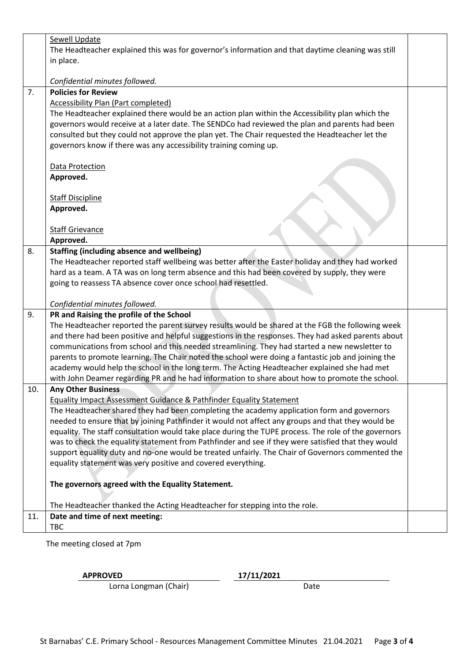|     | <b>Sewell Update</b>                                                                                 |  |  |
|-----|------------------------------------------------------------------------------------------------------|--|--|
|     | The Headteacher explained this was for governor's information and that daytime cleaning was still    |  |  |
|     | in place.                                                                                            |  |  |
|     |                                                                                                      |  |  |
|     | Confidential minutes followed.                                                                       |  |  |
| 7.  | <b>Policies for Review</b>                                                                           |  |  |
|     | <b>Accessibility Plan (Part completed)</b>                                                           |  |  |
|     | The Headteacher explained there would be an action plan within the Accessibility plan which the      |  |  |
|     | governors would receive at a later date. The SENDCo had reviewed the plan and parents had been       |  |  |
|     | consulted but they could not approve the plan yet. The Chair requested the Headteacher let the       |  |  |
|     | governors know if there was any accessibility training coming up.                                    |  |  |
|     | Data Protection                                                                                      |  |  |
|     | Approved.                                                                                            |  |  |
|     |                                                                                                      |  |  |
|     | <b>Staff Discipline</b>                                                                              |  |  |
|     | Approved.                                                                                            |  |  |
|     |                                                                                                      |  |  |
|     | <b>Staff Grievance</b>                                                                               |  |  |
|     | Approved.                                                                                            |  |  |
| 8.  | <b>Staffing (including absence and wellbeing)</b>                                                    |  |  |
|     | The Headteacher reported staff wellbeing was better after the Easter holiday and they had worked     |  |  |
|     | hard as a team. A TA was on long term absence and this had been covered by supply, they were         |  |  |
|     | going to reassess TA absence cover once school had resettled.                                        |  |  |
|     |                                                                                                      |  |  |
|     | Confidential minutes followed.                                                                       |  |  |
| 9.  | PR and Raising the profile of the School                                                             |  |  |
|     | The Headteacher reported the parent survey results would be shared at the FGB the following week     |  |  |
|     | and there had been positive and helpful suggestions in the responses. They had asked parents about   |  |  |
|     | communications from school and this needed streamlining. They had started a new newsletter to        |  |  |
|     | parents to promote learning. The Chair noted the school were doing a fantastic job and joining the   |  |  |
|     | academy would help the school in the long term. The Acting Headteacher explained she had met         |  |  |
|     | with John Deamer regarding PR and he had information to share about how to promote the school.       |  |  |
| 10. | <b>Any Other Business</b>                                                                            |  |  |
|     | <b>Equality Impact Assessment Guidance &amp; Pathfinder Equality Statement</b>                       |  |  |
|     | The Headteacher shared they had been completing the academy application form and governors           |  |  |
|     | needed to ensure that by joining Pathfinder it would not affect any groups and that they would be    |  |  |
|     | equality. The staff consultation would take place during the TUPE process. The role of the governors |  |  |
|     | was to check the equality statement from Pathfinder and see if they were satisfied that they would   |  |  |
|     | support equality duty and no-one would be treated unfairly. The Chair of Governors commented the     |  |  |
|     | equality statement was very positive and covered everything.                                         |  |  |
|     |                                                                                                      |  |  |
|     | The governors agreed with the Equality Statement.                                                    |  |  |
|     |                                                                                                      |  |  |
|     | The Headteacher thanked the Acting Headteacher for stepping into the role.                           |  |  |
| 11. | Date and time of next meeting:                                                                       |  |  |
|     | <b>TBC</b>                                                                                           |  |  |

The meeting closed at 7pm

## **APPROVED 17/11/2021**

Lorna Longman (Chair) Date